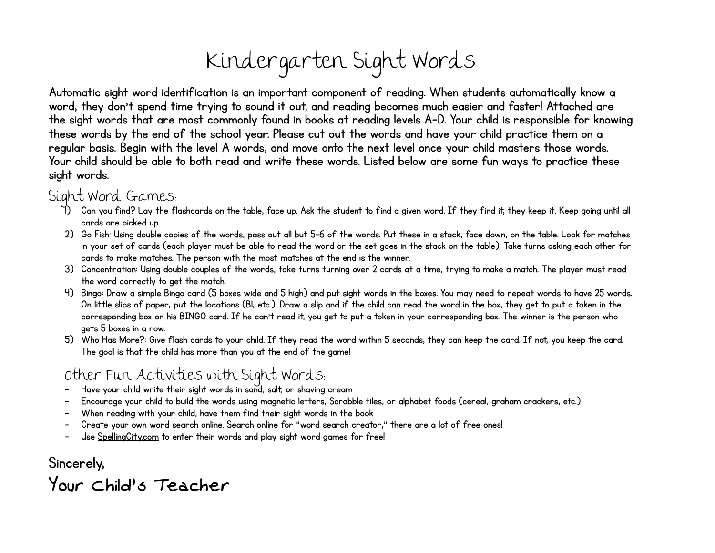

Automatic sight word identification is an important component of reading. When students automatically know a word, they don't spend time trying to sound it out, and reading becomes much easier and faster! Attached are the sight words that are most commonly found in books at reading levels A-D. Your child is responsible for knowing these words by the end of the school year. Please cut out the words and have your child practice them on a regular basis. Begin with the level A words, and move onto the next level once your child masters those words. Your child should be able to both read and write these words. Listed below are some fun ways to practice these sight words.

## Sight Word Games:

- 1) Can you find? Lay the flashcards on the table, face up. Ask the student to find a given word. If they find it, they keep it. Keep going until all cards are picked up.
- 2) Go Fish: Using double copies of the words, pass out all but 5-6 of the words. Put these in a stack, face down, on the table. Look for matches in your set of cards (each player must be able to read the word or the set goes in the stack on the table). Take turns asking each other for cards to make matches. The person with the most matches at the end is the winner.
- 3) Concentration: Using double couples of the words, take turns turning over 2 cards at a time, trying to make a match. The player must read the word correctly to get the match.
- 4) Bingo: Draw a simple Bingo card (5 boxes wide and 5 high) and put sight words in the boxes. You may need to repeat words to have 25 words. On little slips of paper, put the locations (B1, etc.). Draw a slip and if the child can read the word in the box, they get to put a token in the corresponding box on his BINGO card. If he can't read it, you get to put a token in your corresponding box. The winner is the person who gets 5 boxes in a row.
- 5) Who Has More?: Give flash cards to your child. If they read the word within 5 seconds, they can keep the card. If not, you keep the card. The goal is that the child has more than you at the end of the game!

## Other Fun Activities with Sight Words:

- Have your child write their sight words in sand, salt, or shaving cream
- Encourage your child to build the words using magnetic letters, Scrabble tiles, or alphabet foods (cereal, graham crackers, etc.)
- When reading with your child, have them find their sight words in the book
- Create your own word search online. Search online for "word search creator," there are a lot of free ones!
- Use SpellingCity.com to enter their words and play sight word games for free!

Sincerely, Your Child's Teacher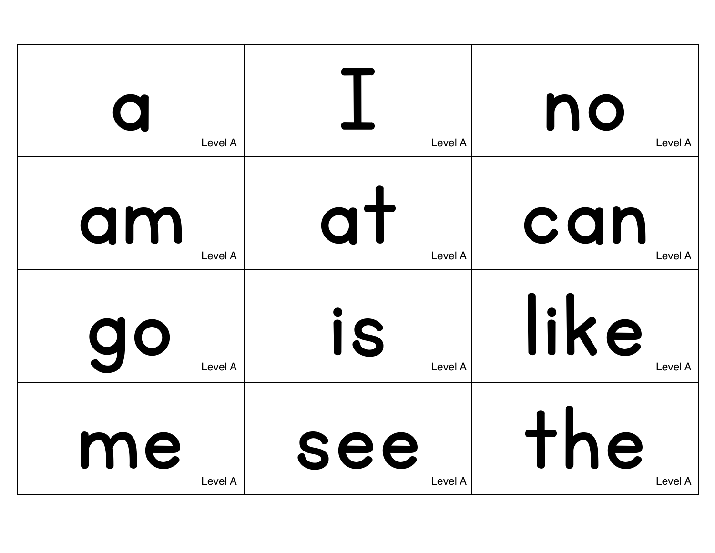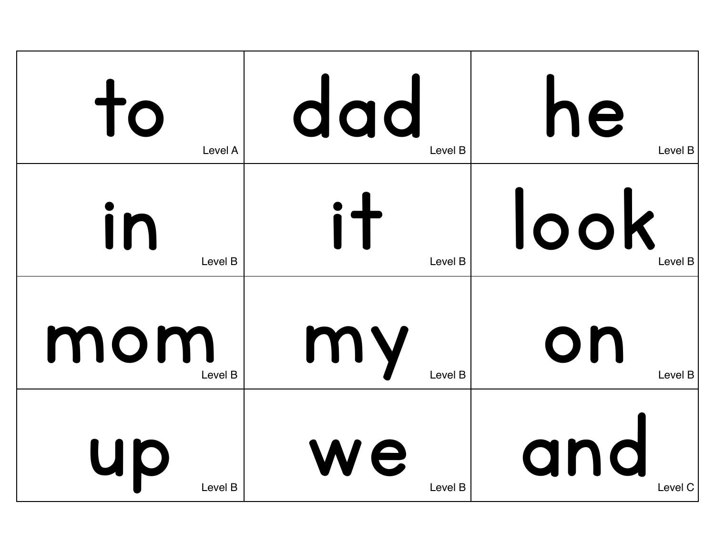| to      | dad     | he      |
|---------|---------|---------|
| Level A | Level B | Level B |
| in      | i t     | look    |
| Level B | Level B | Level B |
| mom     | my      | on      |
| Level B | Level B | Level B |
| Up      | ve      | and     |
| Level B | Level B | Level C |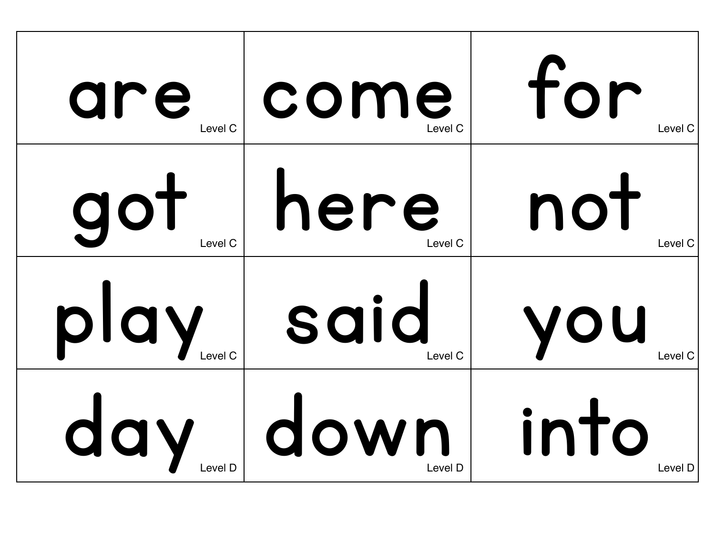| are     | come                       | for            |
|---------|----------------------------|----------------|
| Level C | Level C                    | Level C        |
| got     | here                       | not            |
| Level C | Level C                    | Level C        |
| play    | said<br>Level <sub>C</sub> | VOU<br>Level C |
| day     | down                       | into           |
| _evel D | Level D                    | Level D        |